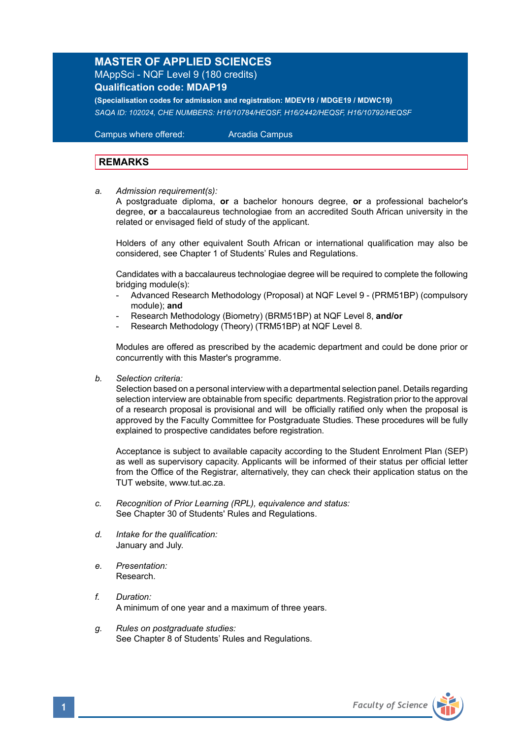## **MASTER OF APPLIED SCIENCES** MAppSci - NQF Level 9 (180 credits) **Qualification code: MDAP19**

**(Specialisation codes for admission and registration: MDEV19 / MDGE19 / MDWC19)**

*SAQA ID: 102024, CHE NUMBERS: H16/10784/HEQSF, H16/2442/HEQSF, H16/10792/HEQSF* 

 Campus where offered: Arcadia Campus

## **REMARKS**

*a. Admission requirement(s):* 

A postgraduate diploma, **or** a bachelor honours degree, **or** a professional bachelor's degree, **or** a baccalaureus technologiae from an accredited South African university in the related or envisaged field of study of the applicant.

Holders of any other equivalent South African or international qualification may also be considered, see Chapter 1 of Students' Rules and Regulations.

 Candidates with a baccalaureus technologiae degree will be required to complete the following bridging module(s):

- Advanced Research Methodology (Proposal) at NQF Level 9 (PRM51BP) (compulsory module); **and**
- Research Methodology (Biometry) (BRM51BP) at NQF Level 8, **and/or**
- Research Methodology (Theory) (TRM51BP) at NQF Level 8.

Modules are offered as prescribed by the academic department and could be done prior or concurrently with this Master's programme.

*b. Selection criteria:*

Selection based on a personal interview with a departmental selection panel. Details regarding selection interview are obtainable from specific departments. Registration prior to the approval of a research proposal is provisional and will be officially ratified only when the proposal is approved by the Faculty Committee for Postgraduate Studies. These procedures will be fully explained to prospective candidates before registration.

Acceptance is subject to available capacity according to the Student Enrolment Plan (SEP) as well as supervisory capacity. Applicants will be informed of their status per official letter from the Office of the Registrar, alternatively, they can check their application status on the TUT website, www.tut.ac.za.

- *c. Recognition of Prior Learning (RPL), equivalence and status:* See Chapter 30 of Students' Rules and Regulations.
- *d. Intake for the qualification:* January and July.
- *e. Presentation:* Research.
- *f. Duration:*  A minimum of one year and a maximum of three years.
- *g. Rules on postgraduate studies:* See Chapter 8 of Students' Rules and Regulations.